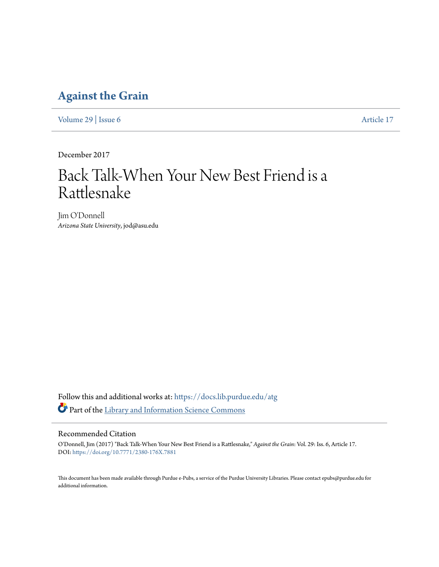### **[Against the Grain](https://docs.lib.purdue.edu/atg?utm_source=docs.lib.purdue.edu%2Fatg%2Fvol29%2Fiss6%2F17&utm_medium=PDF&utm_campaign=PDFCoverPages)**

[Volume 29](https://docs.lib.purdue.edu/atg/vol29?utm_source=docs.lib.purdue.edu%2Fatg%2Fvol29%2Fiss6%2F17&utm_medium=PDF&utm_campaign=PDFCoverPages) | [Issue 6](https://docs.lib.purdue.edu/atg/vol29/iss6?utm_source=docs.lib.purdue.edu%2Fatg%2Fvol29%2Fiss6%2F17&utm_medium=PDF&utm_campaign=PDFCoverPages) [Article 17](https://docs.lib.purdue.edu/atg/vol29/iss6/17?utm_source=docs.lib.purdue.edu%2Fatg%2Fvol29%2Fiss6%2F17&utm_medium=PDF&utm_campaign=PDFCoverPages)

December 2017

## Back Talk-When Your New Best Friend is a Rattlesnake

Jim O'Donnell *Arizona State University*, jod@asu.edu

Follow this and additional works at: [https://docs.lib.purdue.edu/atg](https://docs.lib.purdue.edu/atg?utm_source=docs.lib.purdue.edu%2Fatg%2Fvol29%2Fiss6%2F17&utm_medium=PDF&utm_campaign=PDFCoverPages) Part of the [Library and Information Science Commons](http://network.bepress.com/hgg/discipline/1018?utm_source=docs.lib.purdue.edu%2Fatg%2Fvol29%2Fiss6%2F17&utm_medium=PDF&utm_campaign=PDFCoverPages)

#### Recommended Citation

O'Donnell, Jim (2017) "Back Talk-When Your New Best Friend is a Rattlesnake," *Against the Grain*: Vol. 29: Iss. 6, Article 17. DOI: <https://doi.org/10.7771/2380-176X.7881>

This document has been made available through Purdue e-Pubs, a service of the Purdue University Libraries. Please contact epubs@purdue.edu for additional information.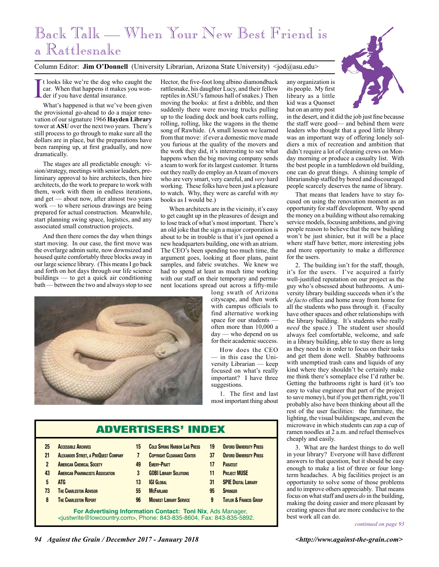## Back Talk — When Your New Best Friend is a Rattlesnake

#### Column Editor: **Jim O'Donnell** (University Librarian, Arizona State University) <jod@asu.edu>

I t looks like we're the dog who caught the car. When that happens it makes you wonder if you have dental insurance.

What's happened is that we've been given the provisional go-ahead to do a major renovation of our signature 1966 **Hayden Library**  tower at **ASU** over the next two years. There's still process to go through to make sure all the dollars are in place, but the preparations have been ramping up, at first gradually, and now dramatically.

The stages are all predictable enough: vision/strategy, meetings with senior leaders, preliminary approval to hire architects, then hire architects, do the work to prepare to work with them, work with them in endless iterations, and get — about now, after almost two years work — to where serious drawings are being prepared for actual construction. Meanwhile, start planning swing space, logistics, and any associated small construction projects.

And then there comes the day when things start moving. In our case, the first move was the overlarge admin suite, now downsized and housed quite comfortably three blocks away in our large science library. (This means I go back and forth on hot days through our life science buildings — to get a quick air conditioning bath — between the two and always stop to see Hector, the five-foot long albino diamondback rattlesnake, his daughter Lucy, and their fellow reptiles in ASU's famous hall of snakes.) Then moving the books: at first a dribble, and then suddenly there were moving trucks pulling up to the loading dock and book carts rolling, rolling, rolling, like the wagons in the theme song of Rawhide. (A small lesson we learned from that move: if ever a domestic move made you furious at the quality of the movers and the work they did, it's interesting to see what happens when the big moving company sends a team to work for its largest customer. It turns out they really do employ an A team of movers who are very smart, very careful, and *very* hard working. These folks have been just a pleasure to watch. Why, they were as careful with *my* books as I would be.)

When architects are in the vicinity, it's easy to get caught up in the pleasures of design and to lose track of what's most important. There's an old joke that the sign a major corporation is about to be in trouble is that it's just opened a new headquarters building, one with an atrium. The CEO's been spending too much time, the argument goes, looking at floor plans, paint samples, and fabric swatches. We knew we had to spend at least as much time working with our staff on their temporary and permanent locations spread out across a fifty-mile

long swath of Arizona cityscape, and then work with campus officials to find alternative working space for our students often more than 10,000 a day — who depend on us for their academic success.

How does the CEO — in this case the University Librarian — keep focused on what's really important? I have three suggestions.

1. The first and last most important thing about

| <b>ADVERTISERS' INDEX</b>                                                                                                               |                                             |    |                                     |    |                                   |
|-----------------------------------------------------------------------------------------------------------------------------------------|---------------------------------------------|----|-------------------------------------|----|-----------------------------------|
| 25                                                                                                                                      | <b>ACCESSIBLE ARCHIVES</b>                  | 15 | <b>COLD SPRING HARROR LAR PRESS</b> | 19 | <b>OXFORD UNIVERSITY PRESS</b>    |
| 21                                                                                                                                      | <b>ALEXANDER STREET, A PROQUEST COMPANY</b> | 7  | <b>COPYRIGHT CLEARANCE CENTER</b>   | 37 | <b>OXFORD UNIVERSITY PRESS</b>    |
| $\overline{2}$                                                                                                                          | <b>AMERICAN CHEMICAL SOCIETY</b>            | 49 | <b>EMFRY-PRATT</b>                  | 17 | <b>PARATEXT</b>                   |
| 43                                                                                                                                      | <b>AMERICAN PHARMACISTS ASSOCIATION</b>     | 3  | <b>GOBI LIBRARY SOLUTIONS</b>       | 11 | <b>PROJECT MUSE</b>               |
| 5                                                                                                                                       | <b>ATG</b>                                  | 13 | <b>IGI GLOBAL</b>                   | 31 | <b>SPIE DIGITAL LIBRARY</b>       |
| 73                                                                                                                                      | <b>THE CHARLESTON ADVISOR</b>               | 55 | <b>MCFARLAND</b>                    | 95 | <b>SPRINGER</b>                   |
| 8                                                                                                                                       | <b>THE CHARLESTON REPORT</b>                | 96 | <b>MIDWEST LIBRARY SERVICE</b>      | 9  | <b>TAYLOR &amp; FRANCIS GROUP</b> |
| For Advertising Information Contact: Toni Nix, Ads Manager,<br>$\le$ iustwrite@lowcountry.com>. Phone: 843-835-8604. Fax: 843-835-5892. |                                             |    |                                     |    |                                   |



any organization is its people. My first library as a little kid was a Quonset hut on an army post

in the desert, and it did the job just fine because the staff were good— and behind them were leaders who thought that a good little library was an important way of offering lonely soldiers a mix of recreation and ambition that didn't require a lot of cleaning crews on Monday morning or produce a casualty list. With the best people in a tumbledown old building, one can do great things. A shining temple of librarianship staffed by bored and discouraged people scarcely deserves the name of library.

That means that leaders have to stay focused on using the renovation moment as an opportunity for staff development. Why spend the money on a building without also remaking service models, focusing ambitions, and giving people reason to believe that the new building won't be just shinier, but it will be a place where staff have better, more interesting jobs and more opportunity to make a difference for the users.

2. The building isn't for the staff, though, it's for the users. I've acquired a fairly well-justified reputation on our project as the guy who's obsessed about bathrooms. A university library building succeeds when it's the *de facto* office and home away from home for all the students who pass through it. (Faculty have other spaces and other relationships with the library building. It's students who really *need* the space.) The student user should always feel comfortable, welcome, and safe in a library building, able to stay there as long as they need to in order to focus on their tasks and get them done well. Shabby bathrooms with unemptied trash cans and liquids of any kind where they shouldn't be certainly make me think there's someplace else I'd rather be. Getting the bathrooms right is hard (it's too easy to value engineer that part of the project to save money), but if you get them right, you'll probably also have been thinking about all the rest of the user facilities: the furniture, the lighting, the visual buildingscape, and even the microwave in which students can zap a cup of ramen noodles at 2 a.m. and refuel themselves cheaply and easily.

3. What are the hardest things to do well in your library? Everyone will have different answers to that question, but it should be easy enough to make a list of three or four longterm headaches. A big facilities project is an opportunity to solve some of those problems and to improve others appreciably. That means focus on what staff and users *do* in the building, making the doing easier and more pleasant by creating spaces that are more conducive to the best work all can do.



*continued on page 93*